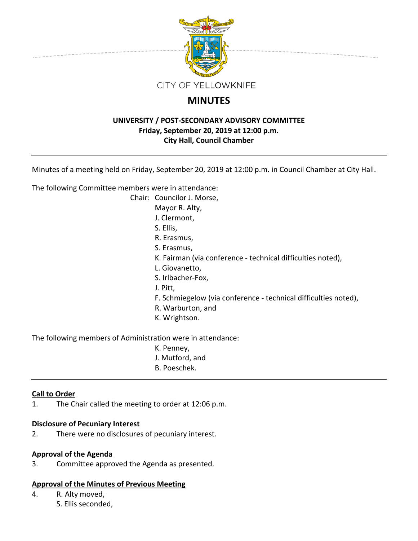

# **MINUTES**

# **UNIVERSITY / POST‐SECONDARY ADVISORY COMMITTEE Friday, September 20, 2019 at 12:00 p.m. City Hall, Council Chamber**

Minutes of a meeting held on Friday, September 20, 2019 at 12:00 p.m. in Council Chamber at City Hall.

The following Committee members were in attendance:

Chair: Councilor J. Morse,

Mayor R. Alty,

J. Clermont,

S. Ellis,

- R. Erasmus,
- S. Erasmus,
- K. Fairman (via conference ‐ technical difficulties noted),
- L. Giovanetto,
- S. Irlbacher‐Fox,
- J. Pitt,
- F. Schmiegelow (via conference ‐ technical difficulties noted),
- R. Warburton, and
- K. Wrightson.

The following members of Administration were in attendance:

- K. Penney,
- J. Mutford, and
- B. Poeschek.

# **Call to Order**

1. The Chair called the meeting to order at 12:06 p.m.

# **Disclosure of Pecuniary Interest**

2. There were no disclosures of pecuniary interest.

# **Approval of the Agenda**

3. Committee approved the Agenda as presented.

# **Approval of the Minutes of Previous Meeting**

4. R. Alty moved, S. Ellis seconded,